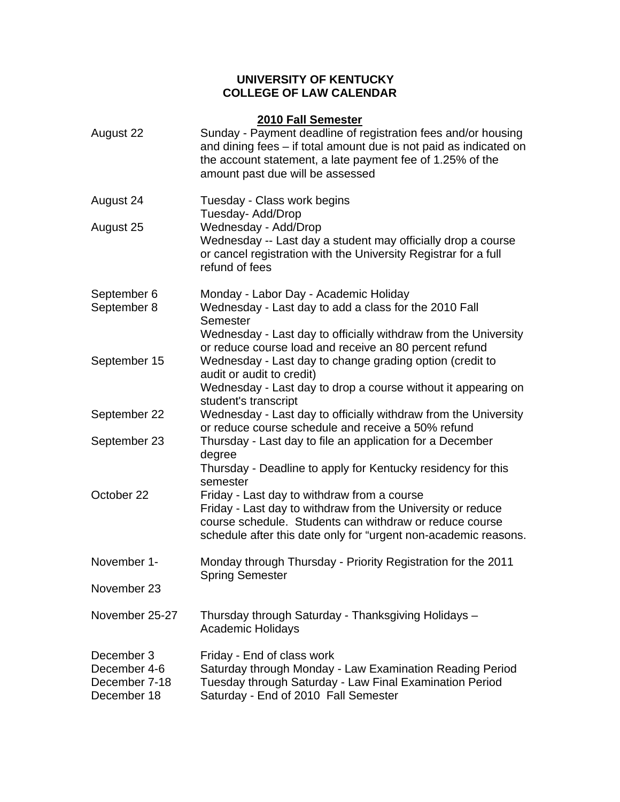## **UNIVERSITY OF KENTUCKY COLLEGE OF LAW CALENDAR**

| 2010 Fall Semester                                         |                                                                                                                                                                                                                                          |  |
|------------------------------------------------------------|------------------------------------------------------------------------------------------------------------------------------------------------------------------------------------------------------------------------------------------|--|
| August 22                                                  | Sunday - Payment deadline of registration fees and/or housing<br>and dining fees – if total amount due is not paid as indicated on<br>the account statement, a late payment fee of 1.25% of the<br>amount past due will be assessed      |  |
| August 24                                                  | Tuesday - Class work begins<br>Tuesday- Add/Drop                                                                                                                                                                                         |  |
| August 25                                                  | Wednesday - Add/Drop<br>Wednesday -- Last day a student may officially drop a course<br>or cancel registration with the University Registrar for a full<br>refund of fees                                                                |  |
| September 6<br>September 8                                 | Monday - Labor Day - Academic Holiday<br>Wednesday - Last day to add a class for the 2010 Fall<br>Semester                                                                                                                               |  |
| September 15                                               | Wednesday - Last day to officially withdraw from the University<br>or reduce course load and receive an 80 percent refund<br>Wednesday - Last day to change grading option (credit to<br>audit or audit to credit)                       |  |
|                                                            | Wednesday - Last day to drop a course without it appearing on<br>student's transcript                                                                                                                                                    |  |
| September 22                                               | Wednesday - Last day to officially withdraw from the University<br>or reduce course schedule and receive a 50% refund                                                                                                                    |  |
| September 23                                               | Thursday - Last day to file an application for a December<br>degree                                                                                                                                                                      |  |
|                                                            | Thursday - Deadline to apply for Kentucky residency for this<br>semester                                                                                                                                                                 |  |
| October 22                                                 | Friday - Last day to withdraw from a course<br>Friday - Last day to withdraw from the University or reduce<br>course schedule. Students can withdraw or reduce course<br>schedule after this date only for "urgent non-academic reasons. |  |
| November 1-                                                | Monday through Thursday - Priority Registration for the 2011                                                                                                                                                                             |  |
| November 23                                                | <b>Spring Semester</b>                                                                                                                                                                                                                   |  |
| November 25-27                                             | Thursday through Saturday - Thanksgiving Holidays -<br><b>Academic Holidays</b>                                                                                                                                                          |  |
| December 3<br>December 4-6<br>December 7-18<br>December 18 | Friday - End of class work<br>Saturday through Monday - Law Examination Reading Period<br>Tuesday through Saturday - Law Final Examination Period<br>Saturday - End of 2010 Fall Semester                                                |  |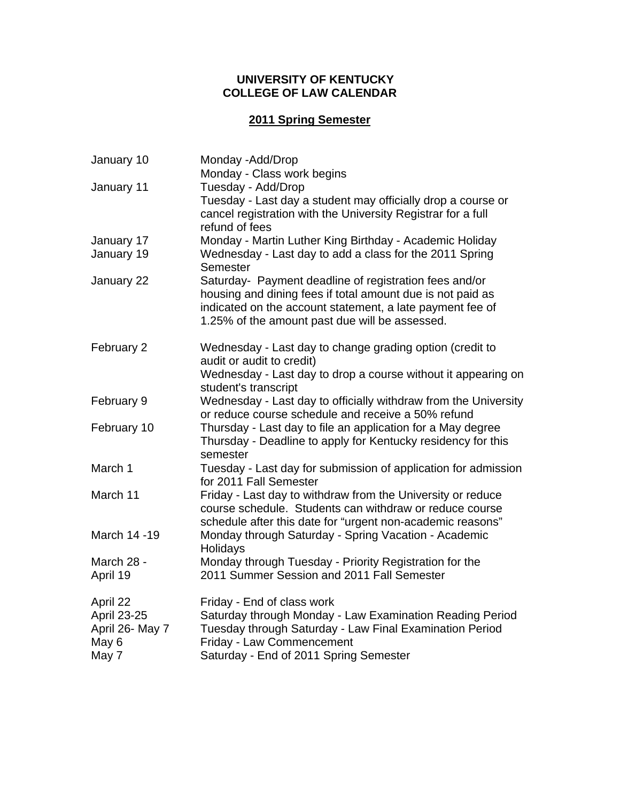## **UNIVERSITY OF KENTUCKY COLLEGE OF LAW CALENDAR**

# **2011 Spring Semester**

| January 10      | Monday - Add/Drop                                                                                                                                                                                                                   |
|-----------------|-------------------------------------------------------------------------------------------------------------------------------------------------------------------------------------------------------------------------------------|
|                 | Monday - Class work begins                                                                                                                                                                                                          |
| January 11      | Tuesday - Add/Drop<br>Tuesday - Last day a student may officially drop a course or                                                                                                                                                  |
|                 | cancel registration with the University Registrar for a full<br>refund of fees                                                                                                                                                      |
| January 17      | Monday - Martin Luther King Birthday - Academic Holiday                                                                                                                                                                             |
| January 19      | Wednesday - Last day to add a class for the 2011 Spring<br>Semester                                                                                                                                                                 |
| January 22      | Saturday- Payment deadline of registration fees and/or<br>housing and dining fees if total amount due is not paid as<br>indicated on the account statement, a late payment fee of<br>1.25% of the amount past due will be assessed. |
| February 2      | Wednesday - Last day to change grading option (credit to<br>audit or audit to credit)                                                                                                                                               |
|                 | Wednesday - Last day to drop a course without it appearing on<br>student's transcript                                                                                                                                               |
| February 9      | Wednesday - Last day to officially withdraw from the University<br>or reduce course schedule and receive a 50% refund                                                                                                               |
| February 10     | Thursday - Last day to file an application for a May degree<br>Thursday - Deadline to apply for Kentucky residency for this<br>semester                                                                                             |
| March 1         | Tuesday - Last day for submission of application for admission<br>for 2011 Fall Semester                                                                                                                                            |
| March 11        | Friday - Last day to withdraw from the University or reduce<br>course schedule. Students can withdraw or reduce course<br>schedule after this date for "urgent non-academic reasons"                                                |
| March 14 - 19   | Monday through Saturday - Spring Vacation - Academic<br>Holidays                                                                                                                                                                    |
| March 28 -      | Monday through Tuesday - Priority Registration for the                                                                                                                                                                              |
| April 19        | 2011 Summer Session and 2011 Fall Semester                                                                                                                                                                                          |
| April 22        | Friday - End of class work                                                                                                                                                                                                          |
| April 23-25     | Saturday through Monday - Law Examination Reading Period                                                                                                                                                                            |
| April 26- May 7 | Tuesday through Saturday - Law Final Examination Period                                                                                                                                                                             |
| May 6           | Friday - Law Commencement                                                                                                                                                                                                           |
| May 7           | Saturday - End of 2011 Spring Semester                                                                                                                                                                                              |